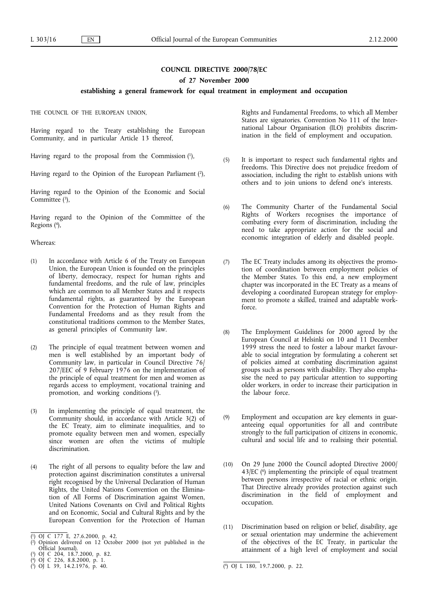# **COUNCIL DIRECTIVE 2000/78/EC**

**of 27 November 2000**

# **establishing a general framework for equal treatment in employment and occupation**

THE COUNCIL OF THE EUROPEAN UNION,

Having regard to the Treaty establishing the European Community, and in particular Article 13 thereof,

Having regard to the proposal from the Commission (1),

Having regard to the Opinion of the European Parliament (2),

Having regard to the Opinion of the Economic and Social Committee<sup>(3)</sup>,

Having regard to the Opinion of the Committee of the Regions (4),

Whereas:

- (1) In accordance with Article 6 of the Treaty on European Union, the European Union is founded on the principles of liberty, democracy, respect for human rights and fundamental freedoms, and the rule of law, principles which are common to all Member States and it respects fundamental rights, as guaranteed by the European Convention for the Protection of Human Rights and Fundamental Freedoms and as they result from the constitutional traditions common to the Member States, as general principles of Community law.
- (2) The principle of equal treatment between women and men is well established by an important body of Community law, in particular in Council Directive 76/ 207/EEC of 9 February 1976 on the implementation of the principle of equal treatment for men and women as regards access to employment, vocational training and promotion, and working conditions (5).
- (3) In implementing the principle of equal treatment, the Community should, in accordance with Article 3(2) of the EC Treaty, aim to eliminate inequalities, and to promote equality between men and women, especially since women are often the victims of multiple discrimination.
- (4) The right of all persons to equality before the law and protection against discrimination constitutes a universal right recognised by the Universal Declaration of Human Rights, the United Nations Convention on the Elimination of All Forms of Discrimination against Women, United Nations Covenants on Civil and Political Rights and on Economic, Social and Cultural Rights and by the European Convention for the Protection of Human

Rights and Fundamental Freedoms, to which all Member States are signatories. Convention No 111 of the International Labour Organisation (ILO) prohibits discrimination in the field of employment and occupation.

- (5) It is important to respect such fundamental rights and freedoms. This Directive does not prejudice freedom of association, including the right to establish unions with others and to join unions to defend one's interests.
- (6) The Community Charter of the Fundamental Social Rights of Workers recognises the importance of combating every form of discrimination, including the need to take appropriate action for the social and economic integration of elderly and disabled people.
- (7) The EC Treaty includes among its objectives the promotion of coordination between employment policies of the Member States. To this end, a new employment chapter was incorporated in the EC Treaty as a means of developing a coordinated European strategy for employment to promote a skilled, trained and adaptable workforce.
- (8) The Employment Guidelines for 2000 agreed by the European Council at Helsinki on 10 and 11 December 1999 stress the need to foster a labour market favourable to social integration by formulating a coherent set of policies aimed at combating discrimination against groups such as persons with disability. They also emphasise the need to pay particular attention to supporting older workers, in order to increase their participation in the labour force.
- (9) Employment and occupation are key elements in guaranteeing equal opportunities for all and contribute strongly to the full participation of citizens in economic, cultural and social life and to realising their potential.
- (10) On 29 June 2000 the Council adopted Directive 2000/  $43/EC$  ( $\frac{6}{9}$ ) implementing the principle of equal treatment between persons irrespective of racial or ethnic origin. That Directive already provides protection against such discrimination in the field of employment and occupation.
- (11) Discrimination based on religion or belief, disability, age or sexual orientation may undermine the achievement of the objectives of the EC Treaty, in particular the attainment of a high level of employment and social

<sup>(</sup> 1) OJ C 177 E, 27.6.2000, p. 42.

<sup>(</sup> 2) Opinion delivered on 12 October 2000 (not yet published in the Official Journal).

<sup>(</sup> 3) OJ C 204, 18.7.2000, p. 82. ( 4) OJ C 226, 8.8.2000, p. 1.

<sup>(</sup> 5) OJ L 39, 14.2.1976, p. 40. (6) OJ L 180, 19.7.2000, p. 22.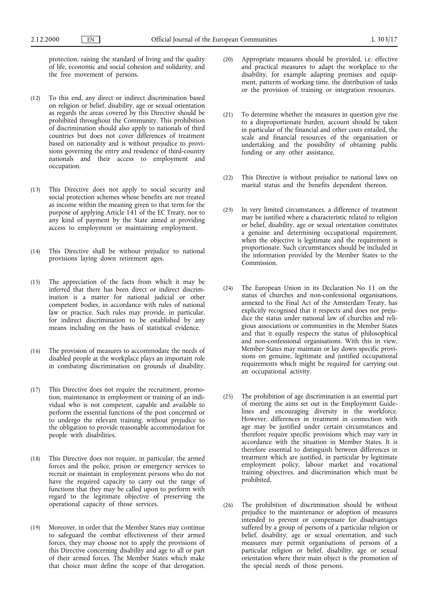protection, raising the standard of living and the quality of life, economic and social cohesion and solidarity, and the free movement of persons.

- (12) To this end, any direct or indirect discrimination based on religion or belief, disability, age or sexual orientation as regards the areas covered by this Directive should be prohibited throughout the Community. This prohibition of discrimination should also apply to nationals of third countries but does not cover differences of treatment based on nationality and is without prejudice to provisions governing the entry and residence of third-country nationals and their access to employment and occupation.
- (13) This Directive does not apply to social security and social protection schemes whose benefits are not treated as income within the meaning given to that term for the purpose of applying Article 141 of the EC Treaty, nor to any kind of payment by the State aimed at providing access to employment or maintaining employment.
- (14) This Directive shall be without prejudice to national provisions laying down retirement ages.
- (15) The appreciation of the facts from which it may be inferred that there has been direct or indirect discrimination is a matter for national judicial or other competent bodies, in accordance with rules of national law or practice. Such rules may provide, in particular, for indirect discrimination to be established by any means including on the basis of statistical evidence.
- (16) The provision of measures to accommodate the needs of disabled people at the workplace plays an important role in combating discrimination on grounds of disability.
- (17) This Directive does not require the recruitment, promotion, maintenance in employment or training of an individual who is not competent, capable and available to perform the essential functions of the post concerned or to undergo the relevant training, without prejudice to the obligation to provide reasonable accommodation for people with disabilities.
- (18) This Directive does not require, in particular, the armed forces and the police, prison or emergency services to recruit or maintain in employment persons who do not have the required capacity to carry out the range of functions that they may be called upon to perform with regard to the legitimate objective of preserving the operational capacity of those services.
- (19) Moreover, in order that the Member States may continue to safeguard the combat effectiveness of their armed forces, they may choose not to apply the provisions of this Directive concerning disability and age to all or part of their armed forces. The Member States which make that choice must define the scope of that derogation.
- (20) Appropriate measures should be provided, i.e. effective and practical measures to adapt the workplace to the disability, for example adapting premises and equipment, patterns of working time, the distribution of tasks or the provision of training or integration resources.
- (21) To determine whether the measures in question give rise to a disproportionate burden, account should be taken in particular of the financial and other costs entailed, the scale and financial resources of the organisation or undertaking and the possibility of obtaining public funding or any other assistance.
- (22) This Directive is without prejudice to national laws on marital status and the benefits dependent thereon.
- (23) In very limited circumstances, a difference of treatment may be justified where a characteristic related to religion or belief, disability, age or sexual orientation constitutes a genuine and determining occupational requirement, when the objective is legitimate and the requirement is proportionate. Such circumstances should be included in the information provided by the Member States to the Commission.
- (24) The European Union in its Declaration No 11 on the status of churches and non-confessional organisations, annexed to the Final Act of the Amsterdam Treaty, has explicitly recognised that it respects and does not prejudice the status under national law of churches and religious associations or communities in the Member States and that it equally respects the status of philosophical and non-confessional organisations. With this in view, Member States may maintain or lay down specific provisions on genuine, legitimate and justified occupational requirements which might be required for carrying out an occupational activity.
- (25) The prohibition of age discrimination is an essential part of meeting the aims set out in the Employment Guidelines and encouraging diversity in the workforce. However, differences in treatment in connection with age may be justified under certain circumstances and therefore require specific provisions which may vary in accordance with the situation in Member States. It is therefore essential to distinguish between differences in treatment which are justified, in particular by legitimate employment policy, labour market and vocational training objectives, and discrimination which must be prohibited.
- (26) The prohibition of discrimination should be without prejudice to the maintenance or adoption of measures intended to prevent or compensate for disadvantages suffered by a group of persons of a particular religion or belief, disability, age or sexual orientation, and such measures may permit organisations of persons of a particular religion or belief, disability, age or sexual orientation where their main object is the promotion of the special needs of those persons.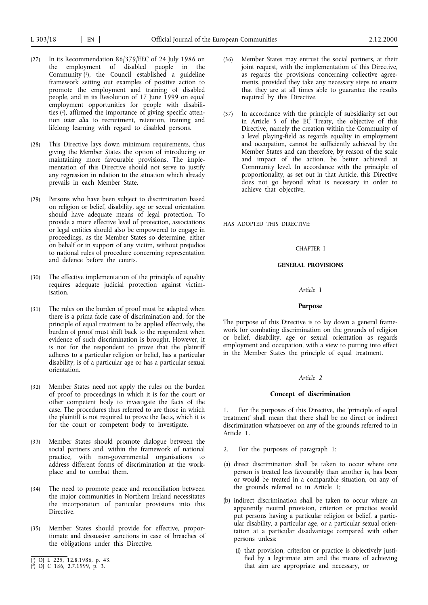- (27) In its Recommendation 86/379/EEC of 24 July 1986 on the employment of disabled people in the Community (1), the Council established a guideline framework setting out examples of positive action to promote the employment and training of disabled people, and in its Resolution of 17 June 1999 on equal employment opportunities for people with disabilities (2), affirmed the importance of giving specific attention *inter alia* to recruitment, retention, training and lifelong learning with regard to disabled persons.
- (28) This Directive lays down minimum requirements, thus giving the Member States the option of introducing or maintaining more favourable provisions. The implementation of this Directive should not serve to justify any regression in relation to the situation which already prevails in each Member State.
- (29) Persons who have been subject to discrimination based on religion or belief, disability, age or sexual orientation should have adequate means of legal protection. To provide a more effective level of protection, associations or legal entities should also be empowered to engage in proceedings, as the Member States so determine, either on behalf or in support of any victim, without prejudice to national rules of procedure concerning representation and defence before the courts.
- (30) The effective implementation of the principle of equality requires adequate judicial protection against victimisation.
- (31) The rules on the burden of proof must be adapted when there is a prima facie case of discrimination and, for the principle of equal treatment to be applied effectively, the burden of proof must shift back to the respondent when evidence of such discrimination is brought. However, it is not for the respondent to prove that the plaintiff adheres to a particular religion or belief, has a particular disability, is of a particular age or has a particular sexual orientation.
- (32) Member States need not apply the rules on the burden of proof to proceedings in which it is for the court or other competent body to investigate the facts of the case. The procedures thus referred to are those in which the plaintiff is not required to prove the facts, which it is for the court or competent body to investigate.
- (33) Member States should promote dialogue between the social partners and, within the framework of national practice, with non-governmental organisations to address different forms of discrimination at the workplace and to combat them.
- (34) The need to promote peace and reconciliation between the major communities in Northern Ireland necessitates the incorporation of particular provisions into this Directive.
- (35) Member States should provide for effective, proportionate and dissuasive sanctions in case of breaches of the obligations under this Directive.
- (36) Member States may entrust the social partners, at their joint request, with the implementation of this Directive, as regards the provisions concerning collective agreements, provided they take any necessary steps to ensure that they are at all times able to guarantee the results required by this Directive.
- (37) In accordance with the principle of subsidiarity set out in Article 5 of the EC Treaty, the objective of this Directive, namely the creation within the Community of a level playing-field as regards equality in employment and occupation, cannot be sufficiently achieved by the Member States and can therefore, by reason of the scale and impact of the action, be better achieved at Community level. In accordance with the principle of proportionality, as set out in that Article, this Directive does not go beyond what is necessary in order to achieve that objective,

HAS ADOPTED THIS DIRECTIVE:

## CHAPTER I

## **GENERAL PROVISIONS**

## *Article 1*

### **Purpose**

The purpose of this Directive is to lay down a general framework for combating discrimination on the grounds of religion or belief, disability, age or sexual orientation as regards employment and occupation, with a view to putting into effect in the Member States the principle of equal treatment.

## *Article 2*

## **Concept of discrimination**

For the purposes of this Directive, the 'principle of equal treatment' shall mean that there shall be no direct or indirect discrimination whatsoever on any of the grounds referred to in Article 1.

- 2. For the purposes of paragraph 1:
- (a) direct discrimination shall be taken to occur where one person is treated less favourably than another is, has been or would be treated in a comparable situation, on any of the grounds referred to in Article 1;
- (b) indirect discrimination shall be taken to occur where an apparently neutral provision, criterion or practice would put persons having a particular religion or belief, a particular disability, a particular age, or a particular sexual orientation at a particular disadvantage compared with other persons unless:
- (i) that provision, criterion or practice is objectively justified by a legitimate aim and the means of achieving (i) OJ L 225, 12.8.1986, p. 43.<br>
(i) OJ C 186, 2.7.1999, p. 3.<br>
(i) OJ C 186, 2.7.1999, p. 3.<br>
(i) OJ C 186, 2.7.1999, p. 3.

<sup>(</sup> 2) OJ C 186, 2.7.1999, p. 3.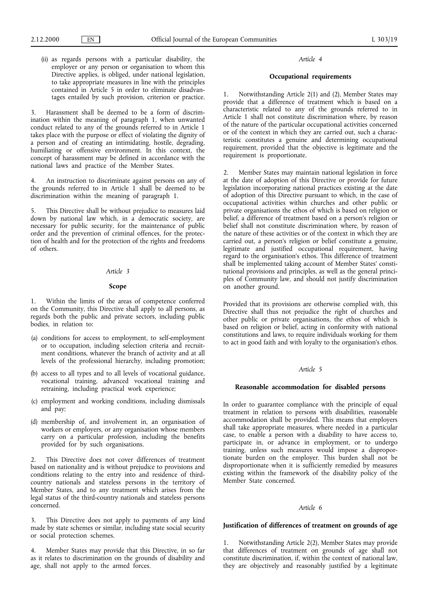(ii) as regards persons with a particular disability, the employer or any person or organisation to whom this Directive applies, is obliged, under national legislation, to take appropriate measures in line with the principles contained in Article 5 in order to eliminate disadvantages entailed by such provision, criterion or practice.

Harassment shall be deemed to be a form of discrimination within the meaning of paragraph 1, when unwanted conduct related to any of the grounds referred to in Article 1 takes place with the purpose or effect of violating the dignity of a person and of creating an intimidating, hostile, degrading, humiliating or offensive environment. In this context, the concept of harassment may be defined in accordance with the national laws and practice of the Member States.

4. An instruction to discriminate against persons on any of the grounds referred to in Article 1 shall be deemed to be discrimination within the meaning of paragraph 1.

5. This Directive shall be without prejudice to measures laid down by national law which, in a democratic society, are necessary for public security, for the maintenance of public order and the prevention of criminal offences, for the protection of health and for the protection of the rights and freedoms of others.

### *Article 3*

## **Scope**

Within the limits of the areas of competence conferred on the Community, this Directive shall apply to all persons, as regards both the public and private sectors, including public bodies, in relation to:

- (a) conditions for access to employment, to self-employment or to occupation, including selection criteria and recruitment conditions, whatever the branch of activity and at all levels of the professional hierarchy, including promotion;
- (b) access to all types and to all levels of vocational guidance, vocational training, advanced vocational training and retraining, including practical work experience;
- (c) employment and working conditions, including dismissals and pay;
- (d) membership of, and involvement in, an organisation of workers or employers, or any organisation whose members carry on a particular profession, including the benefits provided for by such organisations.

This Directive does not cover differences of treatment based on nationality and is without prejudice to provisions and conditions relating to the entry into and residence of thirdcountry nationals and stateless persons in the territory of Member States, and to any treatment which arises from the legal status of the third-country nationals and stateless persons concerned.

3. This Directive does not apply to payments of any kind made by state schemes or similar, including state social security or social protection schemes.

4. Member States may provide that this Directive, in so far as it relates to discrimination on the grounds of disability and age, shall not apply to the armed forces.

## *Article 4*

## **Occupational requirements**

1. Notwithstanding Article 2(1) and (2), Member States may provide that a difference of treatment which is based on a characteristic related to any of the grounds referred to in Article 1 shall not constitute discrimination where, by reason of the nature of the particular occupational activities concerned or of the context in which they are carried out, such a characteristic constitutes a genuine and determining occupational requirement, provided that the objective is legitimate and the requirement is proportionate.

2. Member States may maintain national legislation in force at the date of adoption of this Directive or provide for future legislation incorporating national practices existing at the date of adoption of this Directive pursuant to which, in the case of occupational activities within churches and other public or private organisations the ethos of which is based on religion or belief, a difference of treatment based on a person's religion or belief shall not constitute discrimination where, by reason of the nature of these activities or of the context in which they are carried out, a person's religion or belief constitute a genuine, legitimate and justified occupational requirement, having regard to the organisation's ethos. This difference of treatment shall be implemented taking account of Member States' constitutional provisions and principles, as well as the general principles of Community law, and should not justify discrimination on another ground.

Provided that its provisions are otherwise complied with, this Directive shall thus not prejudice the right of churches and other public or private organisations, the ethos of which is based on religion or belief, acting in conformity with national constitutions and laws, to require individuals working for them to act in good faith and with loyalty to the organisation's ethos.

## *Article 5*

## **Reasonable accommodation for disabled persons**

In order to guarantee compliance with the principle of equal treatment in relation to persons with disabilities, reasonable accommodation shall be provided. This means that employers shall take appropriate measures, where needed in a particular case, to enable a person with a disability to have access to, participate in, or advance in employment, or to undergo training, unless such measures would impose a disproportionate burden on the employer. This burden shall not be disproportionate when it is sufficiently remedied by measures existing within the framework of the disability policy of the Member State concerned.

# *Article 6*

### **Justification of differences of treatment on grounds of age**

1. Notwithstanding Article 2(2), Member States may provide that differences of treatment on grounds of age shall not constitute discrimination, if, within the context of national law, they are objectively and reasonably justified by a legitimate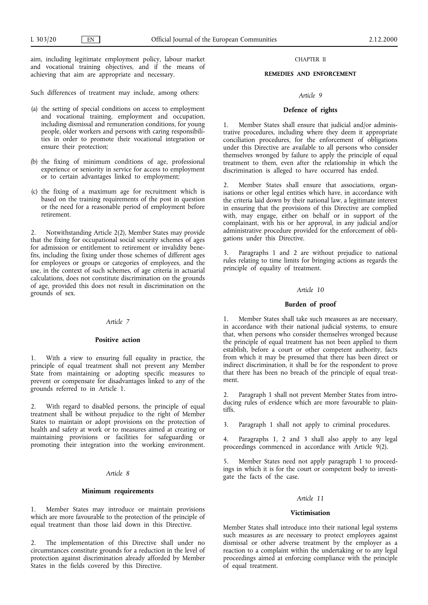aim, including legitimate employment policy, labour market and vocational training objectives, and if the means of achieving that aim are appropriate and necessary.

Such differences of treatment may include, among others:

- (a) the setting of special conditions on access to employment and vocational training, employment and occupation, including dismissal and remuneration conditions, for young people, older workers and persons with caring responsibilities in order to promote their vocational integration or ensure their protection;
- (b) the fixing of minimum conditions of age, professional experience or seniority in service for access to employment or to certain advantages linked to employment;
- (c) the fixing of a maximum age for recruitment which is based on the training requirements of the post in question or the need for a reasonable period of employment before retirement.

2. Notwithstanding Article 2(2), Member States may provide that the fixing for occupational social security schemes of ages for admission or entitlement to retirement or invalidity benefits, including the fixing under those schemes of different ages for employees or groups or categories of employees, and the use, in the context of such schemes, of age criteria in actuarial calculations, does not constitute discrimination on the grounds of age, provided this does not result in discrimination on the grounds of sex.

### *Article 7*

#### **Positive action**

With a view to ensuring full equality in practice, the principle of equal treatment shall not prevent any Member State from maintaining or adopting specific measures to prevent or compensate for disadvantages linked to any of the grounds referred to in Article 1.

2. With regard to disabled persons, the principle of equal treatment shall be without prejudice to the right of Member States to maintain or adopt provisions on the protection of health and safety at work or to measures aimed at creating or maintaining provisions or facilities for safeguarding or promoting their integration into the working environment.

## *Article 8*

### **Minimum requirements**

1. Member States may introduce or maintain provisions which are more favourable to the protection of the principle of equal treatment than those laid down in this Directive.

The implementation of this Directive shall under no circumstances constitute grounds for a reduction in the level of protection against discrimination already afforded by Member States in the fields covered by this Directive.

# CHAPTER II

## **REMEDIES AND ENFORCEMENT**

### *Article 9*

## **Defence of rights**

1. Member States shall ensure that judicial and/or administrative procedures, including where they deem it appropriate conciliation procedures, for the enforcement of obligations under this Directive are available to all persons who consider themselves wronged by failure to apply the principle of equal treatment to them, even after the relationship in which the discrimination is alleged to have occurred has ended.

2. Member States shall ensure that associations, organisations or other legal entities which have, in accordance with the criteria laid down by their national law, a legitimate interest in ensuring that the provisions of this Directive are complied with, may engage, either on behalf or in support of the complainant, with his or her approval, in any judicial and/or administrative procedure provided for the enforcement of obligations under this Directive.

3. Paragraphs 1 and 2 are without prejudice to national rules relating to time limits for bringing actions as regards the principle of equality of treatment.

### *Article 10*

## **Burden of proof**

1. Member States shall take such measures as are necessary, in accordance with their national judicial systems, to ensure that, when persons who consider themselves wronged because the principle of equal treatment has not been applied to them establish, before a court or other competent authority, facts from which it may be presumed that there has been direct or indirect discrimination, it shall be for the respondent to prove that there has been no breach of the principle of equal treatment.

2. Paragraph 1 shall not prevent Member States from introducing rules of evidence which are more favourable to plaintiffs.

3. Paragraph 1 shall not apply to criminal procedures.

4. Paragraphs 1, 2 and 3 shall also apply to any legal proceedings commenced in accordance with Article 9(2).

5. Member States need not apply paragraph 1 to proceedings in which it is for the court or competent body to investigate the facts of the case.

## *Article 11*

### **Victimisation**

Member States shall introduce into their national legal systems such measures as are necessary to protect employees against dismissal or other adverse treatment by the employer as a reaction to a complaint within the undertaking or to any legal proceedings aimed at enforcing compliance with the principle of equal treatment.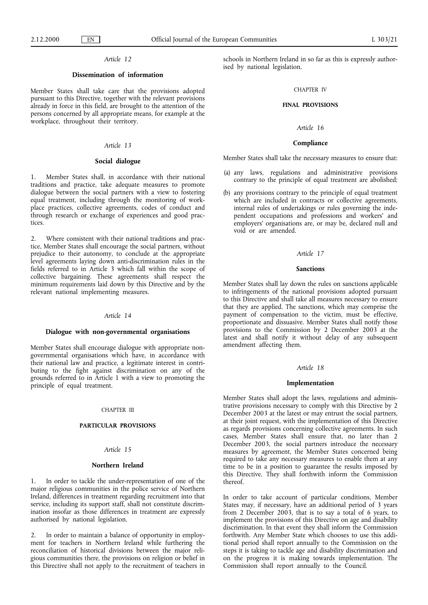# *Article 12*

# **Dissemination of information**

Member States shall take care that the provisions adopted pursuant to this Directive, together with the relevant provisions already in force in this field, are brought to the attention of the persons concerned by all appropriate means, for example at the workplace, throughout their territory.

### *Article 13*

## **Social dialogue**

1. Member States shall, in accordance with their national traditions and practice, take adequate measures to promote dialogue between the social partners with a view to fostering equal treatment, including through the monitoring of workplace practices, collective agreements, codes of conduct and through research or exchange of experiences and good practices.

2. Where consistent with their national traditions and practice, Member States shall encourage the social partners, without prejudice to their autonomy, to conclude at the appropriate level agreements laying down anti-discrimination rules in the fields referred to in Article 3 which fall within the scope of collective bargaining. These agreements shall respect the minimum requirements laid down by this Directive and by the relevant national implementing measures.

#### *Article 14*

### **Dialogue with non-governmental organisations**

Member States shall encourage dialogue with appropriate nongovernmental organisations which have, in accordance with their national law and practice, a legitimate interest in contributing to the fight against discrimination on any of the grounds referred to in Article 1 with a view to promoting the principle of equal treatment.

#### CHAPTER III

#### **PARTICULAR PROVISIONS**

### *Article 15*

#### **Northern Ireland**

In order to tackle the under-representation of one of the major religious communities in the police service of Northern Ireland, differences in treatment regarding recruitment into that service, including its support staff, shall not constitute discrimination insofar as those differences in treatment are expressly authorised by national legislation.

2. In order to maintain a balance of opportunity in employment for teachers in Northern Ireland while furthering the reconciliation of historical divisions between the major religious communities there, the provisions on religion or belief in this Directive shall not apply to the recruitment of teachers in

schools in Northern Ireland in so far as this is expressly authorised by national legislation.

### CHAPTER IV

## **FINAL PROVISIONS**

## *Article 16*

### **Compliance**

Member States shall take the necessary measures to ensure that:

- (a) any laws, regulations and administrative provisions contrary to the principle of equal treatment are abolished;
- (b) any provisions contrary to the principle of equal treatment which are included in contracts or collective agreements, internal rules of undertakings or rules governing the independent occupations and professions and workers' and employers' organisations are, or may be, declared null and void or are amended.

## *Article 17*

#### **Sanctions**

Member States shall lay down the rules on sanctions applicable to infringements of the national provisions adopted pursuant to this Directive and shall take all measures necessary to ensure that they are applied. The sanctions, which may comprise the payment of compensation to the victim, must be effective, proportionate and dissuasive. Member States shall notify those provisions to the Commission by 2 December 2003 at the latest and shall notify it without delay of any subsequent amendment affecting them.

### *Article 18*

### **Implementation**

Member States shall adopt the laws, regulations and administrative provisions necessary to comply with this Directive by 2 December 2003 at the latest or may entrust the social partners, at their joint request, with the implementation of this Directive as regards provisions concerning collective agreements. In such cases, Member States shall ensure that, no later than 2 December 2003, the social partners introduce the necessary measures by agreement, the Member States concerned being required to take any necessary measures to enable them at any time to be in a position to guarantee the results imposed by this Directive. They shall forthwith inform the Commission thereof.

In order to take account of particular conditions, Member States may, if necessary, have an additional period of 3 years from 2 December 2003, that is to say a total of 6 years, to implement the provisions of this Directive on age and disability discrimination. In that event they shall inform the Commission forthwith. Any Member State which chooses to use this additional period shall report annually to the Commission on the steps it is taking to tackle age and disability discrimination and on the progress it is making towards implementation. The Commission shall report annually to the Council.